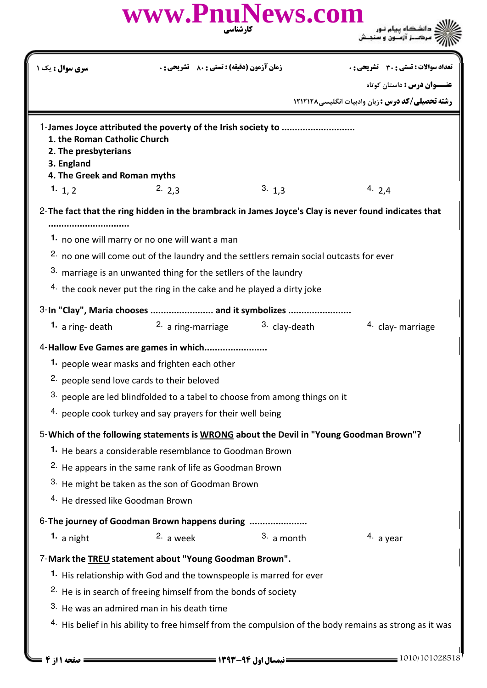| <b>زمان آزمون (دقیقه) : تستی : 80 ٪ تشریحی : 0</b><br><mark>سری سوال :</mark> یک ۱<br>1-James Joyce attributed the poverty of the Irish society to<br>1. the Roman Catholic Church<br>2. The presbyterians<br>3. England<br>4. The Greek and Roman myths<br>3.13<br>4. $2,4$<br>2.2.3<br>1. $1, 2$<br><br>1. no one will marry or no one will want a man<br><sup>2.</sup> no one will come out of the laundry and the settlers remain social outcasts for ever<br>3. marriage is an unwanted thing for the setllers of the laundry<br>$4.$ the cook never put the ring in the cake and he played a dirty joke<br>2. a ring-marriage<br><sup>3.</sup> clay-death<br>1. a ring- death<br>1. people wear masks and frighten each other<br>2. people send love cards to their beloved<br>3. people are led blindfolded to a tabel to choose from among things on it<br><sup>4.</sup> people cook turkey and say prayers for their well being<br>1. He bears a considerable resemblance to Goodman Brown<br><sup>2.</sup> He appears in the same rank of life as Goodman Brown<br>3. He might be taken as the son of Goodman Brown<br><sup>4.</sup> He dressed like Goodman Brown<br>3. a month<br>2. a week<br>1. a night<br>7-Mark the <b>TREU</b> statement about "Young Goodman Brown".<br>1. His relationship with God and the townspeople is marred for ever<br><sup>2.</sup> He is in search of freeing himself from the bonds of society<br>3. He was an admired man in his death time | تعداد سوالات : تستى : 30 قشريحى : 0<br><b>عنـــوان درس :</b> داستان کوتاه<br><b>رشته تحصیلی/کد درس :</b> زبان وادبیات انگلیسی1۲۱۲۱۲۸<br>4. clay- marriage<br>4. a year |
|-------------------------------------------------------------------------------------------------------------------------------------------------------------------------------------------------------------------------------------------------------------------------------------------------------------------------------------------------------------------------------------------------------------------------------------------------------------------------------------------------------------------------------------------------------------------------------------------------------------------------------------------------------------------------------------------------------------------------------------------------------------------------------------------------------------------------------------------------------------------------------------------------------------------------------------------------------------------------------------------------------------------------------------------------------------------------------------------------------------------------------------------------------------------------------------------------------------------------------------------------------------------------------------------------------------------------------------------------------------------------------------------------------------------------------------------------------------------------------------------|------------------------------------------------------------------------------------------------------------------------------------------------------------------------|
|                                                                                                                                                                                                                                                                                                                                                                                                                                                                                                                                                                                                                                                                                                                                                                                                                                                                                                                                                                                                                                                                                                                                                                                                                                                                                                                                                                                                                                                                                           |                                                                                                                                                                        |
| 6-The journey of Goodman Brown happens during                                                                                                                                                                                                                                                                                                                                                                                                                                                                                                                                                                                                                                                                                                                                                                                                                                                                                                                                                                                                                                                                                                                                                                                                                                                                                                                                                                                                                                             |                                                                                                                                                                        |
|                                                                                                                                                                                                                                                                                                                                                                                                                                                                                                                                                                                                                                                                                                                                                                                                                                                                                                                                                                                                                                                                                                                                                                                                                                                                                                                                                                                                                                                                                           |                                                                                                                                                                        |
| 2- The fact that the ring hidden in the brambrack in James Joyce's Clay is never found indicates that<br>3-In "Clay", Maria chooses  and it symbolizes<br>4-Hallow Eve Games are games in which<br>5-Which of the following statements is WRONG about the Devil in "Young Goodman Brown"?                                                                                                                                                                                                                                                                                                                                                                                                                                                                                                                                                                                                                                                                                                                                                                                                                                                                                                                                                                                                                                                                                                                                                                                                 |                                                                                                                                                                        |
|                                                                                                                                                                                                                                                                                                                                                                                                                                                                                                                                                                                                                                                                                                                                                                                                                                                                                                                                                                                                                                                                                                                                                                                                                                                                                                                                                                                                                                                                                           |                                                                                                                                                                        |
|                                                                                                                                                                                                                                                                                                                                                                                                                                                                                                                                                                                                                                                                                                                                                                                                                                                                                                                                                                                                                                                                                                                                                                                                                                                                                                                                                                                                                                                                                           |                                                                                                                                                                        |
|                                                                                                                                                                                                                                                                                                                                                                                                                                                                                                                                                                                                                                                                                                                                                                                                                                                                                                                                                                                                                                                                                                                                                                                                                                                                                                                                                                                                                                                                                           |                                                                                                                                                                        |
|                                                                                                                                                                                                                                                                                                                                                                                                                                                                                                                                                                                                                                                                                                                                                                                                                                                                                                                                                                                                                                                                                                                                                                                                                                                                                                                                                                                                                                                                                           |                                                                                                                                                                        |
|                                                                                                                                                                                                                                                                                                                                                                                                                                                                                                                                                                                                                                                                                                                                                                                                                                                                                                                                                                                                                                                                                                                                                                                                                                                                                                                                                                                                                                                                                           |                                                                                                                                                                        |
|                                                                                                                                                                                                                                                                                                                                                                                                                                                                                                                                                                                                                                                                                                                                                                                                                                                                                                                                                                                                                                                                                                                                                                                                                                                                                                                                                                                                                                                                                           |                                                                                                                                                                        |
|                                                                                                                                                                                                                                                                                                                                                                                                                                                                                                                                                                                                                                                                                                                                                                                                                                                                                                                                                                                                                                                                                                                                                                                                                                                                                                                                                                                                                                                                                           |                                                                                                                                                                        |
|                                                                                                                                                                                                                                                                                                                                                                                                                                                                                                                                                                                                                                                                                                                                                                                                                                                                                                                                                                                                                                                                                                                                                                                                                                                                                                                                                                                                                                                                                           |                                                                                                                                                                        |
|                                                                                                                                                                                                                                                                                                                                                                                                                                                                                                                                                                                                                                                                                                                                                                                                                                                                                                                                                                                                                                                                                                                                                                                                                                                                                                                                                                                                                                                                                           |                                                                                                                                                                        |
|                                                                                                                                                                                                                                                                                                                                                                                                                                                                                                                                                                                                                                                                                                                                                                                                                                                                                                                                                                                                                                                                                                                                                                                                                                                                                                                                                                                                                                                                                           |                                                                                                                                                                        |
|                                                                                                                                                                                                                                                                                                                                                                                                                                                                                                                                                                                                                                                                                                                                                                                                                                                                                                                                                                                                                                                                                                                                                                                                                                                                                                                                                                                                                                                                                           |                                                                                                                                                                        |
|                                                                                                                                                                                                                                                                                                                                                                                                                                                                                                                                                                                                                                                                                                                                                                                                                                                                                                                                                                                                                                                                                                                                                                                                                                                                                                                                                                                                                                                                                           |                                                                                                                                                                        |
|                                                                                                                                                                                                                                                                                                                                                                                                                                                                                                                                                                                                                                                                                                                                                                                                                                                                                                                                                                                                                                                                                                                                                                                                                                                                                                                                                                                                                                                                                           |                                                                                                                                                                        |
|                                                                                                                                                                                                                                                                                                                                                                                                                                                                                                                                                                                                                                                                                                                                                                                                                                                                                                                                                                                                                                                                                                                                                                                                                                                                                                                                                                                                                                                                                           |                                                                                                                                                                        |
|                                                                                                                                                                                                                                                                                                                                                                                                                                                                                                                                                                                                                                                                                                                                                                                                                                                                                                                                                                                                                                                                                                                                                                                                                                                                                                                                                                                                                                                                                           |                                                                                                                                                                        |
|                                                                                                                                                                                                                                                                                                                                                                                                                                                                                                                                                                                                                                                                                                                                                                                                                                                                                                                                                                                                                                                                                                                                                                                                                                                                                                                                                                                                                                                                                           |                                                                                                                                                                        |
|                                                                                                                                                                                                                                                                                                                                                                                                                                                                                                                                                                                                                                                                                                                                                                                                                                                                                                                                                                                                                                                                                                                                                                                                                                                                                                                                                                                                                                                                                           |                                                                                                                                                                        |
|                                                                                                                                                                                                                                                                                                                                                                                                                                                                                                                                                                                                                                                                                                                                                                                                                                                                                                                                                                                                                                                                                                                                                                                                                                                                                                                                                                                                                                                                                           |                                                                                                                                                                        |
|                                                                                                                                                                                                                                                                                                                                                                                                                                                                                                                                                                                                                                                                                                                                                                                                                                                                                                                                                                                                                                                                                                                                                                                                                                                                                                                                                                                                                                                                                           |                                                                                                                                                                        |
|                                                                                                                                                                                                                                                                                                                                                                                                                                                                                                                                                                                                                                                                                                                                                                                                                                                                                                                                                                                                                                                                                                                                                                                                                                                                                                                                                                                                                                                                                           |                                                                                                                                                                        |
|                                                                                                                                                                                                                                                                                                                                                                                                                                                                                                                                                                                                                                                                                                                                                                                                                                                                                                                                                                                                                                                                                                                                                                                                                                                                                                                                                                                                                                                                                           |                                                                                                                                                                        |
|                                                                                                                                                                                                                                                                                                                                                                                                                                                                                                                                                                                                                                                                                                                                                                                                                                                                                                                                                                                                                                                                                                                                                                                                                                                                                                                                                                                                                                                                                           |                                                                                                                                                                        |
|                                                                                                                                                                                                                                                                                                                                                                                                                                                                                                                                                                                                                                                                                                                                                                                                                                                                                                                                                                                                                                                                                                                                                                                                                                                                                                                                                                                                                                                                                           |                                                                                                                                                                        |
|                                                                                                                                                                                                                                                                                                                                                                                                                                                                                                                                                                                                                                                                                                                                                                                                                                                                                                                                                                                                                                                                                                                                                                                                                                                                                                                                                                                                                                                                                           |                                                                                                                                                                        |
|                                                                                                                                                                                                                                                                                                                                                                                                                                                                                                                                                                                                                                                                                                                                                                                                                                                                                                                                                                                                                                                                                                                                                                                                                                                                                                                                                                                                                                                                                           |                                                                                                                                                                        |
| 4. His belief in his ability to free himself from the compulsion of the body remains as strong as it was                                                                                                                                                                                                                                                                                                                                                                                                                                                                                                                                                                                                                                                                                                                                                                                                                                                                                                                                                                                                                                                                                                                                                                                                                                                                                                                                                                                  |                                                                                                                                                                        |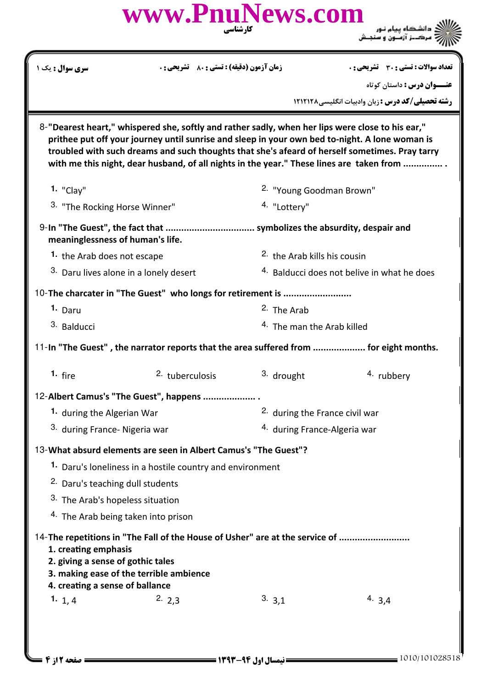|                                                                                                                                                                                                                                                                                                                                                                                                  | www.PnuNews.com<br>کارشناسی                                                  |                         |                                                         |  |  |  |  |
|--------------------------------------------------------------------------------------------------------------------------------------------------------------------------------------------------------------------------------------------------------------------------------------------------------------------------------------------------------------------------------------------------|------------------------------------------------------------------------------|-------------------------|---------------------------------------------------------|--|--|--|--|
| <b>سری سوال :</b> یک ۱                                                                                                                                                                                                                                                                                                                                                                           | <b>زمان آزمون (دقیقه) : تستی : 80 ٪ تشریحی : 0</b>                           |                         | تعداد سوالات : تستى : 30 قشريحى : 0                     |  |  |  |  |
|                                                                                                                                                                                                                                                                                                                                                                                                  |                                                                              |                         | <b>عنـــوان درس :</b> داستان کوتاه                      |  |  |  |  |
|                                                                                                                                                                                                                                                                                                                                                                                                  |                                                                              |                         | <b>رشته تحصیلی/کد درس :</b> زبان وادبیات انگلیسی/۱۲۱۲۱۲ |  |  |  |  |
| 8-"Dearest heart," whispered she, softly and rather sadly, when her lips were close to his ear,"<br>prithee put off your journey until sunrise and sleep in your own bed to-night. A lone woman is<br>troubled with such dreams and such thoughts that she's afeard of herself sometimes. Pray tarry<br>with me this night, dear husband, of all nights in the year." These lines are taken from |                                                                              |                         |                                                         |  |  |  |  |
| $1.$ "Clay"                                                                                                                                                                                                                                                                                                                                                                                      |                                                                              |                         | <sup>2.</sup> "Young Goodman Brown"                     |  |  |  |  |
| <sup>3.</sup> "The Rocking Horse Winner"                                                                                                                                                                                                                                                                                                                                                         |                                                                              | 4. "Lottery"            |                                                         |  |  |  |  |
| meaninglessness of human's life.                                                                                                                                                                                                                                                                                                                                                                 |                                                                              |                         |                                                         |  |  |  |  |
| 1. the Arab does not escape                                                                                                                                                                                                                                                                                                                                                                      |                                                                              |                         | <sup>2.</sup> the Arab kills his cousin                 |  |  |  |  |
| 3. Daru lives alone in a lonely desert                                                                                                                                                                                                                                                                                                                                                           |                                                                              |                         | <sup>4.</sup> Balducci does not belive in what he does  |  |  |  |  |
|                                                                                                                                                                                                                                                                                                                                                                                                  | 10-The charcater in "The Guest" who longs for retirement is                  |                         |                                                         |  |  |  |  |
| 1. Daru                                                                                                                                                                                                                                                                                                                                                                                          |                                                                              | <sup>2</sup> . The Arab |                                                         |  |  |  |  |
| 3. Balducci                                                                                                                                                                                                                                                                                                                                                                                      |                                                                              |                         | <sup>4.</sup> The man the Arab killed                   |  |  |  |  |
| 11-In "The Guest", the narrator reports that the area suffered from  for eight months.                                                                                                                                                                                                                                                                                                           |                                                                              |                         |                                                         |  |  |  |  |
| 1. $fire$                                                                                                                                                                                                                                                                                                                                                                                        | 2. tuberculosis                                                              | 3. drought              | 4. rubbery                                              |  |  |  |  |
|                                                                                                                                                                                                                                                                                                                                                                                                  | 12-Albert Camus's "The Guest", happens                                       |                         |                                                         |  |  |  |  |
| 1. during the Algerian War                                                                                                                                                                                                                                                                                                                                                                       |                                                                              |                         | <sup>2.</sup> during the France civil war               |  |  |  |  |
| 3. during France- Nigeria war                                                                                                                                                                                                                                                                                                                                                                    |                                                                              |                         | <sup>4.</sup> during France-Algeria war                 |  |  |  |  |
|                                                                                                                                                                                                                                                                                                                                                                                                  | 13-What absurd elements are seen in Albert Camus's "The Guest"?              |                         |                                                         |  |  |  |  |
|                                                                                                                                                                                                                                                                                                                                                                                                  | 1. Daru's loneliness in a hostile country and environment                    |                         |                                                         |  |  |  |  |
| <sup>2.</sup> Daru's teaching dull students                                                                                                                                                                                                                                                                                                                                                      |                                                                              |                         |                                                         |  |  |  |  |
| <sup>3.</sup> The Arab's hopeless situation                                                                                                                                                                                                                                                                                                                                                      |                                                                              |                         |                                                         |  |  |  |  |
| <sup>4.</sup> The Arab being taken into prison                                                                                                                                                                                                                                                                                                                                                   |                                                                              |                         |                                                         |  |  |  |  |
| 1. creating emphasis<br>2. giving a sense of gothic tales<br>3. making ease of the terrible ambience<br>4. creating a sense of ballance                                                                                                                                                                                                                                                          | 14-The repetitions in "The Fall of the House of Usher" are at the service of |                         |                                                         |  |  |  |  |
| 1. $1, 4$                                                                                                                                                                                                                                                                                                                                                                                        | 2.2,3                                                                        | 3.3,1                   | 4. $3,4$                                                |  |  |  |  |
|                                                                                                                                                                                                                                                                                                                                                                                                  |                                                                              |                         |                                                         |  |  |  |  |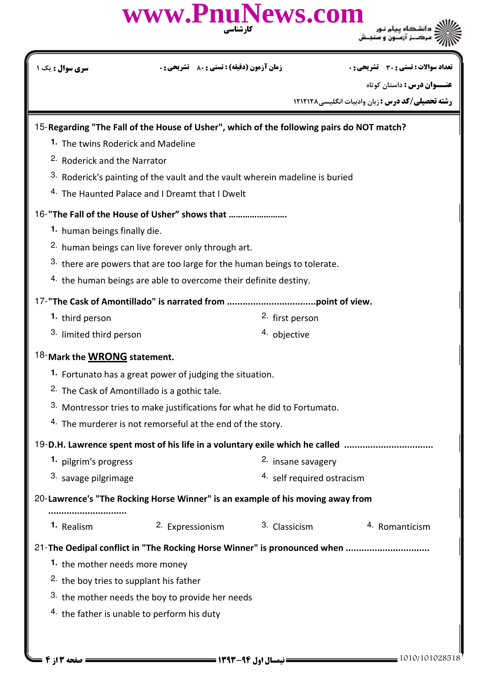